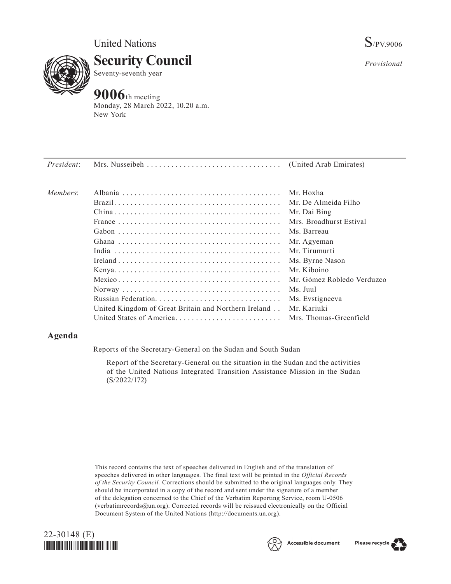

**Security Council** Seventy-seventh year

# **9006**th meeting

Monday, 28 March 2022, 10.20 a.m. New York

| President: |                                                      |                            |
|------------|------------------------------------------------------|----------------------------|
| Members:   |                                                      | Mr. Hoxha                  |
|            |                                                      | Mr. De Almeida Filho       |
|            |                                                      | Mr. Dai Bing               |
|            |                                                      | Mrs. Broadhurst Estival    |
|            |                                                      | Ms. Barreau                |
|            |                                                      | Mr. Agyeman                |
|            |                                                      | Mr. Tirumurti              |
|            |                                                      | Ms. Byrne Nason            |
|            |                                                      | Mr. Kiboino                |
|            |                                                      | Mr. Gómez Robledo Verduzco |
|            |                                                      | Ms. Juul                   |
|            |                                                      | Ms. Evstigneeva            |
|            | United Kingdom of Great Britain and Northern Ireland | Mr. Kariuki                |
|            | United States of America                             | Mrs. Thomas-Greenfield     |

# **Agenda**

Reports of the Secretary-General on the Sudan and South Sudan

Report of the Secretary-General on the situation in the Sudan and the activities of the United Nations Integrated Transition Assistance Mission in the Sudan (S/2022/172)

This record contains the text of speeches delivered in English and of the translation of speeches delivered in other languages. The final text will be printed in the *Official Records of the Security Council.* Corrections should be submitted to the original languages only. They should be incorporated in a copy of the record and sent under the signature of a member of the delegation concerned to the Chief of the Verbatim Reporting Service, room U-0506 (verbatimrecords@un.org). Corrected records will be reissued electronically on the Official Document System of the United Nations (http://documents.un.org).







*Provisional*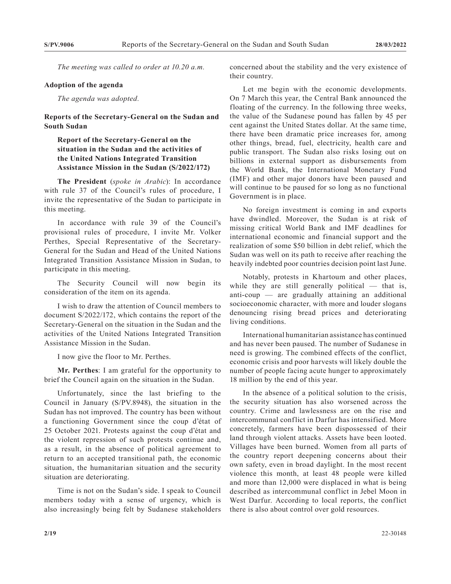*The meeting was called to order at 10.20 a.m.*

#### **Adoption of the agenda**

*The agenda was adopted.*

### **Reports of the Secretary-General on the Sudan and South Sudan**

## **Report of the Secretary-General on the situation in the Sudan and the activities of the United Nations Integrated Transition Assistance Mission in the Sudan (S/2022/172)**

**The President** (*spoke in Arabic*): In accordance with rule 37 of the Council's rules of procedure, I invite the representative of the Sudan to participate in this meeting.

In accordance with rule 39 of the Council's provisional rules of procedure, I invite Mr. Volker Perthes, Special Representative of the Secretary-General for the Sudan and Head of the United Nations Integrated Transition Assistance Mission in Sudan, to participate in this meeting.

The Security Council will now begin its consideration of the item on its agenda.

I wish to draw the attention of Council members to document S/2022/172, which contains the report of the Secretary-General on the situation in the Sudan and the activities of the United Nations Integrated Transition Assistance Mission in the Sudan.

I now give the floor to Mr. Perthes.

**Mr. Perthes**: I am grateful for the opportunity to brief the Council again on the situation in the Sudan.

Unfortunately, since the last briefing to the Council in January (S/PV.8948), the situation in the Sudan has not improved. The country has been without a functioning Government since the coup d'état of 25 October 2021. Protests against the coup d'état and the violent repression of such protests continue and, as a result, in the absence of political agreement to return to an accepted transitional path, the economic situation, the humanitarian situation and the security situation are deteriorating.

Time is not on the Sudan's side. I speak to Council members today with a sense of urgency, which is also increasingly being felt by Sudanese stakeholders concerned about the stability and the very existence of their country.

Let me begin with the economic developments. On 7 March this year, the Central Bank announced the floating of the currency. In the following three weeks, the value of the Sudanese pound has fallen by 45 per cent against the United States dollar. At the same time, there have been dramatic price increases for, among other things, bread, fuel, electricity, health care and public transport. The Sudan also risks losing out on billions in external support as disbursements from the World Bank, the International Monetary Fund (IMF) and other major donors have been paused and will continue to be paused for so long as no functional Government is in place.

No foreign investment is coming in and exports have dwindled. Moreover, the Sudan is at risk of missing critical World Bank and IMF deadlines for international economic and financial support and the realization of some \$50 billion in debt relief, which the Sudan was well on its path to receive after reaching the heavily indebted poor countries decision point last June.

Notably, protests in Khartoum and other places, while they are still generally political  $-$  that is, anti-coup — are gradually attaining an additional socioeconomic character, with more and louder slogans denouncing rising bread prices and deteriorating living conditions.

International humanitarian assistance has continued and has never been paused. The number of Sudanese in need is growing. The combined effects of the conflict, economic crisis and poor harvests will likely double the number of people facing acute hunger to approximately 18 million by the end of this year.

In the absence of a political solution to the crisis, the security situation has also worsened across the country. Crime and lawlessness are on the rise and intercommunal conflict in Darfur has intensified. More concretely, farmers have been dispossessed of their land through violent attacks. Assets have been looted. Villages have been burned. Women from all parts of the country report deepening concerns about their own safety, even in broad daylight. In the most recent violence this month, at least 48 people were killed and more than 12,000 were displaced in what is being described as intercommunal conflict in Jebel Moon in West Darfur. According to local reports, the conflict there is also about control over gold resources.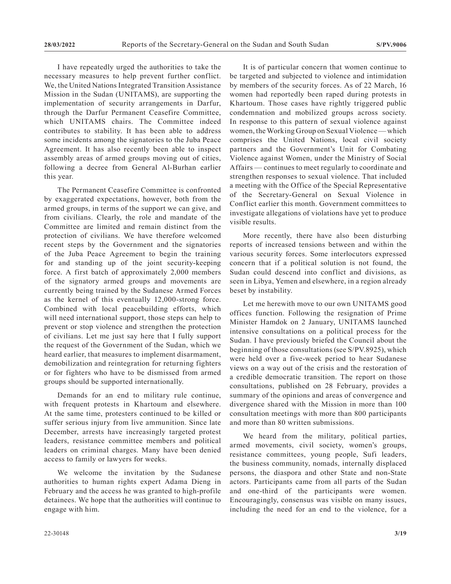I have repeatedly urged the authorities to take the necessary measures to help prevent further conflict. We, the United Nations Integrated Transition Assistance Mission in the Sudan (UNITAMS), are supporting the implementation of security arrangements in Darfur, through the Darfur Permanent Ceasefire Committee, which UNITAMS chairs. The Committee indeed contributes to stability. It has been able to address some incidents among the signatories to the Juba Peace Agreement. It has also recently been able to inspect assembly areas of armed groups moving out of cities, following a decree from General Al-Burhan earlier this year.

The Permanent Ceasefire Committee is confronted by exaggerated expectations, however, both from the armed groups, in terms of the support we can give, and from civilians. Clearly, the role and mandate of the Committee are limited and remain distinct from the protection of civilians. We have therefore welcomed recent steps by the Government and the signatories of the Juba Peace Agreement to begin the training for and standing up of the joint security-keeping force. A first batch of approximately 2,000 members of the signatory armed groups and movements are currently being trained by the Sudanese Armed Forces as the kernel of this eventually 12,000-strong force. Combined with local peacebuilding efforts, which will need international support, those steps can help to prevent or stop violence and strengthen the protection of civilians. Let me just say here that I fully support the request of the Government of the Sudan, which we heard earlier, that measures to implement disarmament, demobilization and reintegration for returning fighters or for fighters who have to be dismissed from armed groups should be supported internationally.

Demands for an end to military rule continue, with frequent protests in Khartoum and elsewhere. At the same time, protesters continued to be killed or suffer serious injury from live ammunition. Since late December, arrests have increasingly targeted protest leaders, resistance committee members and political leaders on criminal charges. Many have been denied access to family or lawyers for weeks.

We welcome the invitation by the Sudanese authorities to human rights expert Adama Dieng in February and the access he was granted to high-profile detainees. We hope that the authorities will continue to engage with him.

It is of particular concern that women continue to be targeted and subjected to violence and intimidation by members of the security forces. As of 22 March, 16 women had reportedly been raped during protests in Khartoum. Those cases have rightly triggered public condemnation and mobilized groups across society. In response to this pattern of sexual violence against women, the Working Group on Sexual Violence— which comprises the United Nations, local civil society partners and the Government's Unit for Combating Violence against Women, under the Ministry of Social Affairs — continues to meet regularly to coordinate and strengthen responses to sexual violence. That included a meeting with the Office of the Special Representative of the Secretary-General on Sexual Violence in Conflict earlier this month. Government committees to investigate allegations of violations have yet to produce visible results.

More recently, there have also been disturbing reports of increased tensions between and within the various security forces. Some interlocutors expressed concern that if a political solution is not found, the Sudan could descend into conflict and divisions, as seen in Libya, Yemen and elsewhere, in a region already beset by instability.

Let me herewith move to our own UNITAMS good offices function. Following the resignation of Prime Minister Hamdok on 2 January, UNITAMS launched intensive consultations on a political process for the Sudan. I have previously briefed the Council about the beginning of those consultations (see S/PV.8925), which were held over a five-week period to hear Sudanese views on a way out of the crisis and the restoration of a credible democratic transition. The report on those consultations, published on 28 February, provides a summary of the opinions and areas of convergence and divergence shared with the Mission in more than 100 consultation meetings with more than 800 participants and more than 80 written submissions.

We heard from the military, political parties, armed movements, civil society, women's groups, resistance committees, young people, Sufi leaders, the business community, nomads, internally displaced persons, the diaspora and other State and non-State actors. Participants came from all parts of the Sudan and one-third of the participants were women. Encouragingly, consensus was visible on many issues, including the need for an end to the violence, for a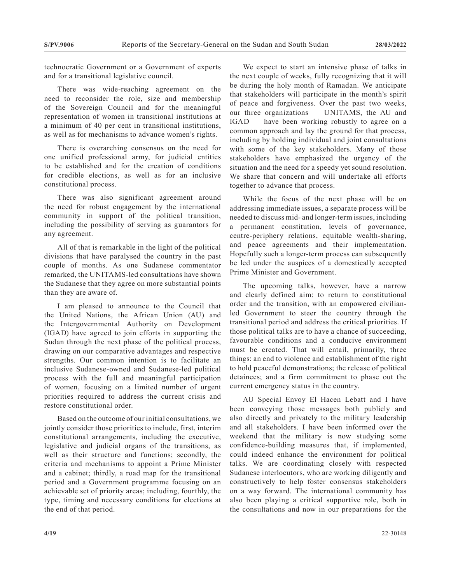technocratic Government or a Government of experts and for a transitional legislative council.

There was wide-reaching agreement on the need to reconsider the role, size and membership of the Sovereign Council and for the meaningful representation of women in transitional institutions at a minimum of 40 per cent in transitional institutions, as well as for mechanisms to advance women's rights.

There is overarching consensus on the need for one unified professional army, for judicial entities to be established and for the creation of conditions for credible elections, as well as for an inclusive constitutional process.

There was also significant agreement around the need for robust engagement by the international community in support of the political transition, including the possibility of serving as guarantors for any agreement.

All of that is remarkable in the light of the political divisions that have paralysed the country in the past couple of months. As one Sudanese commentator remarked, the UNITAMS-led consultations have shown the Sudanese that they agree on more substantial points than they are aware of.

I am pleased to announce to the Council that the United Nations, the African Union (AU) and the Intergovernmental Authority on Development (IGAD) have agreed to join efforts in supporting the Sudan through the next phase of the political process, drawing on our comparative advantages and respective strengths. Our common intention is to facilitate an inclusive Sudanese-owned and Sudanese-led political process with the full and meaningful participation of women, focusing on a limited number of urgent priorities required to address the current crisis and restore constitutional order.

Based on the outcome of our initial consultations, we jointly consider those priorities to include, first, interim constitutional arrangements, including the executive, legislative and judicial organs of the transitions, as well as their structure and functions; secondly, the criteria and mechanisms to appoint a Prime Minister and a cabinet; thirdly, a road map for the transitional period and a Government programme focusing on an achievable set of priority areas; including, fourthly, the type, timing and necessary conditions for elections at the end of that period.

We expect to start an intensive phase of talks in the next couple of weeks, fully recognizing that it will be during the holy month of Ramadan. We anticipate that stakeholders will participate in the month's spirit of peace and forgiveness. Over the past two weeks, our three organizations — UNITAMS, the AU and IGAD — have been working robustly to agree on a common approach and lay the ground for that process, including by holding individual and joint consultations with some of the key stakeholders. Many of those stakeholders have emphasized the urgency of the situation and the need for a speedy yet sound resolution. We share that concern and will undertake all efforts together to advance that process.

While the focus of the next phase will be on addressing immediate issues, a separate process will be needed to discuss mid- and longer-term issues, including a permanent constitution, levels of governance, centre-periphery relations, equitable wealth-sharing, and peace agreements and their implementation. Hopefully such a longer-term process can subsequently be led under the auspices of a domestically accepted Prime Minister and Government.

The upcoming talks, however, have a narrow and clearly defined aim: to return to constitutional order and the transition, with an empowered civilianled Government to steer the country through the transitional period and address the critical priorities. If those political talks are to have a chance of succeeding, favourable conditions and a conducive environment must be created. That will entail, primarily, three things: an end to violence and establishment of the right to hold peaceful demonstrations; the release of political detainees; and a firm commitment to phase out the current emergency status in the country.

AU Special Envoy El Hacen Lebatt and I have been conveying those messages both publicly and also directly and privately to the military leadership and all stakeholders. I have been informed over the weekend that the military is now studying some confidence-building measures that, if implemented, could indeed enhance the environment for political talks. We are coordinating closely with respected Sudanese interlocutors, who are working diligently and constructively to help foster consensus stakeholders on a way forward. The international community has also been playing a critical supportive role, both in the consultations and now in our preparations for the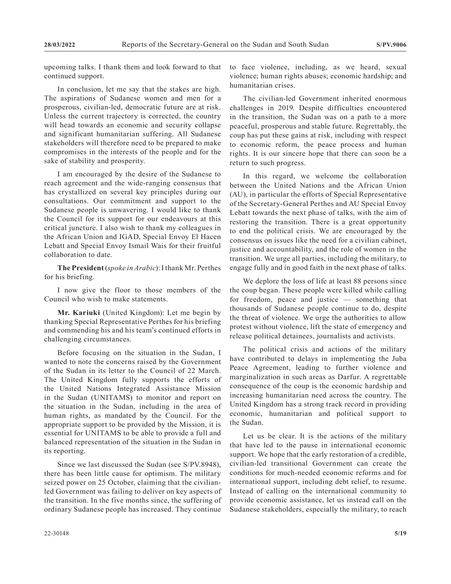upcoming talks. I thank them and look forward to that continued support.

In conclusion, let me say that the stakes are high. The aspirations of Sudanese women and men for a prosperous, civilian-led, democratic future are at risk. Unless the current trajectory is corrected, the country will head towards an economic and security collapse and significant humanitarian suffering. All Sudanese stakeholders will therefore need to be prepared to make compromises in the interests of the people and for the sake of stability and prosperity.

I am encouraged by the desire of the Sudanese to reach agreement and the wide-ranging consensus that has crystallized on several key principles during our consultations. Our commitment and support to the Sudanese people is unwavering. I would like to thank the Council for its support for our endeavours at this critical juncture. I also wish to thank my colleagues in the African Union and IGAD, Special Envoy El Hacen Lebatt and Special Envoy Ismail Wais for their fruitful collaboration to date.

**The President** (*spoke in Arabic*): I thank Mr. Perthes for his briefing.

I now give the floor to those members of the Council who wish to make statements.

**Mr. Kariuki** (United Kingdom): Let me begin by thanking Special Representative Perthes for his briefing and commending his and his team's continued efforts in challenging circumstances.

Before focusing on the situation in the Sudan, I wanted to note the concerns raised by the Government of the Sudan in its letter to the Council of 22 March. The United Kingdom fully supports the efforts of the United Nations Integrated Assistance Mission in the Sudan (UNITAMS) to monitor and report on the situation in the Sudan, including in the area of human rights, as mandated by the Council. For the appropriate support to be provided by the Mission, it is essential for UNITAMS to be able to provide a full and balanced representation of the situation in the Sudan in its reporting.

Since we last discussed the Sudan (see S/PV.8948), there has been little cause for optimism. The military seized power on 25 October, claiming that the civilianled Government was failing to deliver on key aspects of the transition. In the five months since, the suffering of ordinary Sudanese people has increased. They continue

to face violence, including, as we heard, sexual violence; human rights abuses; economic hardship; and humanitarian crises.

The civilian-led Government inherited enormous challenges in 2019. Despite difficulties encountered in the transition, the Sudan was on a path to a more peaceful, prosperous and stable future. Regrettably, the coup has put these gains at risk, including with respect to economic reform, the peace process and human rights. It is our sincere hope that there can soon be a return to such progress.

In this regard, we welcome the collaboration between the United Nations and the African Union (AU), in particular the efforts of Special Representative of the Secretary-General Perthes and AU Special Envoy Lebatt towards the next phase of talks, with the aim of restoring the transition. There is a great opportunity to end the political crisis. We are encouraged by the consensus on issues like the need for a civilian cabinet, justice and accountability, and the role of women in the transition. We urge all parties, including the military, to engage fully and in good faith in the next phase of talks.

We deplore the loss of life at least 88 persons since the coup began. These people were killed while calling for freedom, peace and justice — something that thousands of Sudanese people continue to do, despite the threat of violence. We urge the authorities to allow protest without violence, lift the state of emergency and release political detainees, journalists and activists.

The political crisis and actions of the military have contributed to delays in implementing the Juba Peace Agreement, leading to further violence and marginalization in such areas as Darfur. A regrettable consequence of the coup is the economic hardship and increasing humanitarian need across the country. The United Kingdom has a strong track record in providing economic, humanitarian and political support to the Sudan.

Let us be clear. It is the actions of the military that have led to the pause in international economic support. We hope that the early restoration of a credible, civilian-led transitional Government can create the conditions for much-needed economic reforms and for international support, including debt relief, to resume. Instead of calling on the international community to provide economic assistance, let us instead call on the Sudanese stakeholders, especially the military, to reach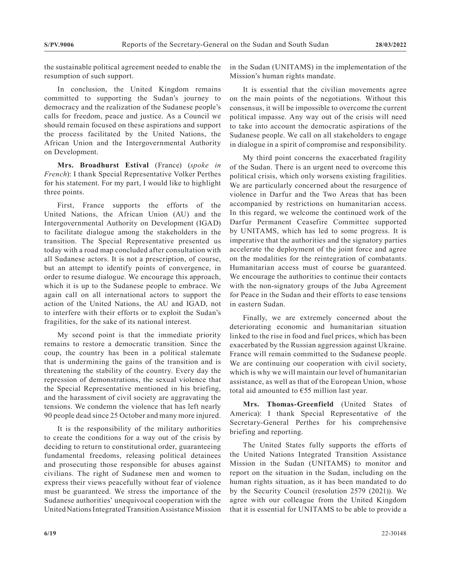the sustainable political agreement needed to enable the resumption of such support.

In conclusion, the United Kingdom remains committed to supporting the Sudan's journey to democracy and the realization of the Sudanese people's calls for freedom, peace and justice. As a Council we should remain focused on these aspirations and support the process facilitated by the United Nations, the African Union and the Intergovernmental Authority on Development.

**Mrs. Broadhurst Estival** (France) (*spoke in French*): I thank Special Representative Volker Perthes for his statement. For my part, I would like to highlight three points.

First, France supports the efforts of the United Nations, the African Union (AU) and the Intergovernmental Authority on Development (IGAD) to facilitate dialogue among the stakeholders in the transition. The Special Representative presented us today with a road map concluded after consultation with all Sudanese actors. It is not a prescription, of course, but an attempt to identify points of convergence, in order to resume dialogue. We encourage this approach, which it is up to the Sudanese people to embrace. We again call on all international actors to support the action of the United Nations, the AU and IGAD, not to interfere with their efforts or to exploit the Sudan's fragilities, for the sake of its national interest.

My second point is that the immediate priority remains to restore a democratic transition. Since the coup, the country has been in a political stalemate that is undermining the gains of the transition and is threatening the stability of the country. Every day the repression of demonstrations, the sexual violence that the Special Representative mentioned in his briefing, and the harassment of civil society are aggravating the tensions. We condemn the violence that has left nearly 90 people dead since 25 October and many more injured.

It is the responsibility of the military authorities to create the conditions for a way out of the crisis by deciding to return to constitutional order, guaranteeing fundamental freedoms, releasing political detainees and prosecuting those responsible for abuses against civilians. The right of Sudanese men and women to express their views peacefully without fear of violence must be guaranteed. We stress the importance of the Sudanese authorities' unequivocal cooperation with the United Nations Integrated Transition Assistance Mission in the Sudan (UNITAMS) in the implementation of the Mission's human rights mandate.

It is essential that the civilian movements agree on the main points of the negotiations. Without this consensus, it will be impossible to overcome the current political impasse. Any way out of the crisis will need to take into account the democratic aspirations of the Sudanese people. We call on all stakeholders to engage in dialogue in a spirit of compromise and responsibility.

My third point concerns the exacerbated fragility of the Sudan. There is an urgent need to overcome this political crisis, which only worsens existing fragilities. We are particularly concerned about the resurgence of violence in Darfur and the Two Areas that has been accompanied by restrictions on humanitarian access. In this regard, we welcome the continued work of the Darfur Permanent Ceasefire Committee supported by UNITAMS, which has led to some progress. It is imperative that the authorities and the signatory parties accelerate the deployment of the joint force and agree on the modalities for the reintegration of combatants. Humanitarian access must of course be guaranteed. We encourage the authorities to continue their contacts with the non-signatory groups of the Juba Agreement for Peace in the Sudan and their efforts to ease tensions in eastern Sudan.

Finally, we are extremely concerned about the deteriorating economic and humanitarian situation linked to the rise in food and fuel prices, which has been exacerbated by the Russian aggression against Ukraine. France will remain committed to the Sudanese people. We are continuing our cooperation with civil society, which is why we will maintain our level of humanitarian assistance, as well as that of the European Union, whose total aid amounted to  $\epsilon$ 55 million last year.

**Mrs. Thomas-Greenfield** (United States of America): I thank Special Representative of the Secretary-General Perthes for his comprehensive briefing and reporting.

The United States fully supports the efforts of the United Nations Integrated Transition Assistance Mission in the Sudan (UNITAMS) to monitor and report on the situation in the Sudan, including on the human rights situation, as it has been mandated to do by the Security Council (resolution 2579 (2021)). We agree with our colleague from the United Kingdom that it is essential for UNITAMS to be able to provide a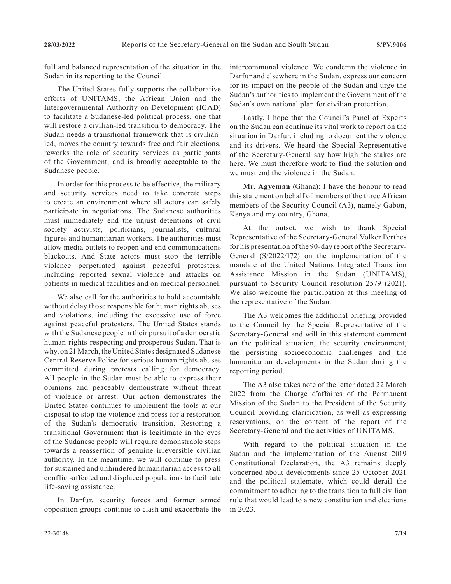full and balanced representation of the situation in the Sudan in its reporting to the Council.

The United States fully supports the collaborative efforts of UNITAMS, the African Union and the Intergovernmental Authority on Development (IGAD) to facilitate a Sudanese-led political process, one that will restore a civilian-led transition to democracy. The Sudan needs a transitional framework that is civilianled, moves the country towards free and fair elections, reworks the role of security services as participants of the Government, and is broadly acceptable to the Sudanese people.

In order for this process to be effective, the military and security services need to take concrete steps to create an environment where all actors can safely participate in negotiations. The Sudanese authorities must immediately end the unjust detentions of civil society activists, politicians, journalists, cultural figures and humanitarian workers. The authorities must allow media outlets to reopen and end communications blackouts. And State actors must stop the terrible violence perpetrated against peaceful protesters, including reported sexual violence and attacks on patients in medical facilities and on medical personnel.

We also call for the authorities to hold accountable without delay those responsible for human rights abuses and violations, including the excessive use of force against peaceful protesters. The United States stands with the Sudanese people in their pursuit of a democratic human-rights-respecting and prosperous Sudan. That is why, on 21 March, the United States designated Sudanese Central Reserve Police for serious human rights abuses committed during protests calling for democracy. All people in the Sudan must be able to express their opinions and peaceably demonstrate without threat of violence or arrest. Our action demonstrates the United States continues to implement the tools at our disposal to stop the violence and press for a restoration of the Sudan's democratic transition. Restoring a transitional Government that is legitimate in the eyes of the Sudanese people will require demonstrable steps towards a reassertion of genuine irreversible civilian authority. In the meantime, we will continue to press for sustained and unhindered humanitarian access to all conflict-affected and displaced populations to facilitate life-saving assistance.

In Darfur, security forces and former armed opposition groups continue to clash and exacerbate the

Lastly, I hope that the Council's Panel of Experts on the Sudan can continue its vital work to report on the situation in Darfur, including to document the violence and its drivers. We heard the Special Representative of the Secretary-General say how high the stakes are here. We must therefore work to find the solution and we must end the violence in the Sudan.

**Mr. Agyeman** (Ghana): I have the honour to read this statement on behalf of members of the three African members of the Security Council (A3), namely Gabon, Kenya and my country, Ghana.

At the outset, we wish to thank Special Representative of the Secretary-General Volker Perthes for his presentation of the 90-day report of the Secretary-General (S/2022/172) on the implementation of the mandate of the United Nations Integrated Transition Assistance Mission in the Sudan (UNITAMS), pursuant to Security Council resolution 2579 (2021). We also welcome the participation at this meeting of the representative of the Sudan.

The A3 welcomes the additional briefing provided to the Council by the Special Representative of the Secretary-General and will in this statement comment on the political situation, the security environment, the persisting socioeconomic challenges and the humanitarian developments in the Sudan during the reporting period.

The A3 also takes note of the letter dated 22 March 2022 from the Chargé d'affaires of the Permanent Mission of the Sudan to the President of the Security Council providing clarification, as well as expressing reservations, on the content of the report of the Secretary-General and the activities of UNITAMS.

With regard to the political situation in the Sudan and the implementation of the August 2019 Constitutional Declaration, the A3 remains deeply concerned about developments since 25 October 2021 and the political stalemate, which could derail the commitment to adhering to the transition to full civilian rule that would lead to a new constitution and elections in 2023.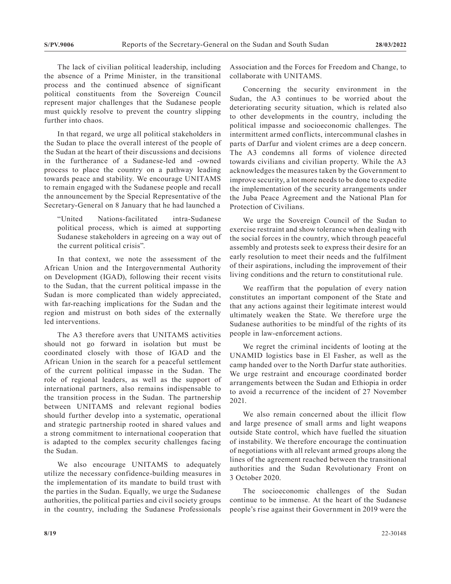The lack of civilian political leadership, including the absence of a Prime Minister, in the transitional process and the continued absence of significant political constituents from the Sovereign Council represent major challenges that the Sudanese people must quickly resolve to prevent the country slipping further into chaos.

In that regard, we urge all political stakeholders in the Sudan to place the overall interest of the people of the Sudan at the heart of their discussions and decisions in the furtherance of a Sudanese-led and -owned process to place the country on a pathway leading towards peace and stability. We encourage UNITAMS to remain engaged with the Sudanese people and recall the announcement by the Special Representative of the Secretary-General on 8 January that he had launched a

"United Nations-facilitated intra-Sudanese political process, which is aimed at supporting Sudanese stakeholders in agreeing on a way out of the current political crisis".

In that context, we note the assessment of the African Union and the Intergovernmental Authority on Development (IGAD), following their recent visits to the Sudan, that the current political impasse in the Sudan is more complicated than widely appreciated, with far-reaching implications for the Sudan and the region and mistrust on both sides of the externally led interventions.

The A3 therefore avers that UNITAMS activities should not go forward in isolation but must be coordinated closely with those of IGAD and the African Union in the search for a peaceful settlement of the current political impasse in the Sudan. The role of regional leaders, as well as the support of international partners, also remains indispensable to the transition process in the Sudan. The partnership between UNITAMS and relevant regional bodies should further develop into a systematic, operational and strategic partnership rooted in shared values and a strong commitment to international cooperation that is adapted to the complex security challenges facing the Sudan.

We also encourage UNITAMS to adequately utilize the necessary confidence-building measures in the implementation of its mandate to build trust with the parties in the Sudan. Equally, we urge the Sudanese authorities, the political parties and civil society groups in the country, including the Sudanese Professionals Association and the Forces for Freedom and Change, to collaborate with UNITAMS.

Concerning the security environment in the Sudan, the A3 continues to be worried about the deteriorating security situation, which is related also to other developments in the country, including the political impasse and socioeconomic challenges. The intermittent armed conflicts, intercommunal clashes in parts of Darfur and violent crimes are a deep concern. The A3 condemns all forms of violence directed towards civilians and civilian property. While the A3 acknowledges the measures taken by the Government to improve security, a lot more needs to be done to expedite the implementation of the security arrangements under the Juba Peace Agreement and the National Plan for Protection of Civilians.

We urge the Sovereign Council of the Sudan to exercise restraint and show tolerance when dealing with the social forces in the country, which through peaceful assembly and protests seek to express their desire for an early resolution to meet their needs and the fulfilment of their aspirations, including the improvement of their living conditions and the return to constitutional rule.

We reaffirm that the population of every nation constitutes an important component of the State and that any actions against their legitimate interest would ultimately weaken the State. We therefore urge the Sudanese authorities to be mindful of the rights of its people in law-enforcement actions.

We regret the criminal incidents of looting at the UNAMID logistics base in El Fasher, as well as the camp handed over to the North Darfur state authorities. We urge restraint and encourage coordinated border arrangements between the Sudan and Ethiopia in order to avoid a recurrence of the incident of 27 November 2021.

We also remain concerned about the illicit flow and large presence of small arms and light weapons outside State control, which have fuelled the situation of instability. We therefore encourage the continuation of negotiations with all relevant armed groups along the lines of the agreement reached between the transitional authorities and the Sudan Revolutionary Front on 3 October 2020.

The socioeconomic challenges of the Sudan continue to be immense. At the heart of the Sudanese people's rise against their Government in 2019 were the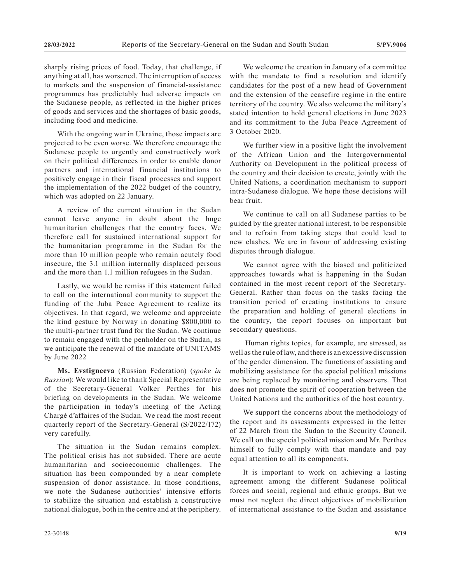sharply rising prices of food. Today, that challenge, if anything at all, has worsened. The interruption of access to markets and the suspension of financial-assistance programmes has predictably had adverse impacts on the Sudanese people, as reflected in the higher prices of goods and services and the shortages of basic goods, including food and medicine.

With the ongoing war in Ukraine, those impacts are projected to be even worse. We therefore encourage the Sudanese people to urgently and constructively work on their political differences in order to enable donor partners and international financial institutions to positively engage in their fiscal processes and support the implementation of the 2022 budget of the country, which was adopted on 22 January.

A review of the current situation in the Sudan cannot leave anyone in doubt about the huge humanitarian challenges that the country faces. We therefore call for sustained international support for the humanitarian programme in the Sudan for the more than 10 million people who remain acutely food insecure, the 3.1 million internally displaced persons and the more than 1.1 million refugees in the Sudan.

Lastly, we would be remiss if this statement failed to call on the international community to support the funding of the Juba Peace Agreement to realize its objectives. In that regard, we welcome and appreciate the kind gesture by Norway in donating \$800,000 to the multi-partner trust fund for the Sudan. We continue to remain engaged with the penholder on the Sudan, as we anticipate the renewal of the mandate of UNITAMS by June 2022

**Ms. Evstigneeva** (Russian Federation) (*spoke in Russian*): We would like to thank Special Representative of the Secretary-General Volker Perthes for his briefing on developments in the Sudan. We welcome the participation in today's meeting of the Acting Chargé d'affaires of the Sudan. We read the most recent quarterly report of the Secretary-General (S/2022/172) very carefully.

The situation in the Sudan remains complex. The political crisis has not subsided. There are acute humanitarian and socioeconomic challenges. The situation has been compounded by a near complete suspension of donor assistance. In those conditions, we note the Sudanese authorities' intensive efforts to stabilize the situation and establish a constructive national dialogue, both in the centre and at the periphery.

We welcome the creation in January of a committee with the mandate to find a resolution and identify candidates for the post of a new head of Government and the extension of the ceasefire regime in the entire territory of the country. We also welcome the military's stated intention to hold general elections in June 2023 and its commitment to the Juba Peace Agreement of 3 October 2020.

We further view in a positive light the involvement of the African Union and the Intergovernmental Authority on Development in the political process of the country and their decision to create, jointly with the United Nations, a coordination mechanism to support intra-Sudanese dialogue. We hope those decisions will bear fruit.

We continue to call on all Sudanese parties to be guided by the greater national interest, to be responsible and to refrain from taking steps that could lead to new clashes. We are in favour of addressing existing disputes through dialogue.

We cannot agree with the biased and politicized approaches towards what is happening in the Sudan contained in the most recent report of the Secretary-General. Rather than focus on the tasks facing the transition period of creating institutions to ensure the preparation and holding of general elections in the country, the report focuses on important but secondary questions.

 Human rights topics, for example, are stressed, as well as the rule of law, and there is an excessive discussion of the gender dimension. The functions of assisting and mobilizing assistance for the special political missions are being replaced by monitoring and observers. That does not promote the spirit of cooperation between the United Nations and the authorities of the host country.

We support the concerns about the methodology of the report and its assessments expressed in the letter of 22 March from the Sudan to the Security Council. We call on the special political mission and Mr. Perthes himself to fully comply with that mandate and pay equal attention to all its components.

It is important to work on achieving a lasting agreement among the different Sudanese political forces and social, regional and ethnic groups. But we must not neglect the direct objectives of mobilization of international assistance to the Sudan and assistance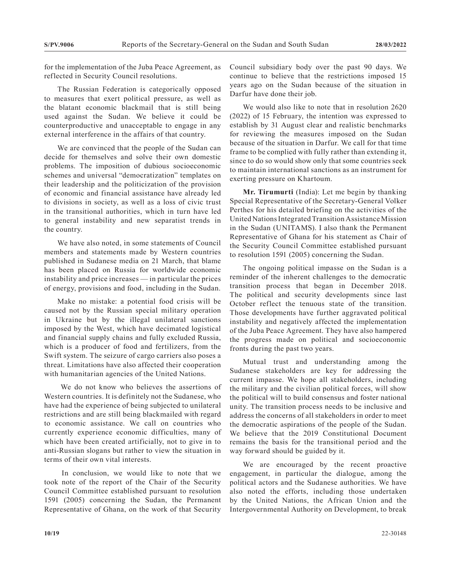for the implementation of the Juba Peace Agreement, as reflected in Security Council resolutions.

The Russian Federation is categorically opposed to measures that exert political pressure, as well as the blatant economic blackmail that is still being used against the Sudan. We believe it could be counterproductive and unacceptable to engage in any external interference in the affairs of that country.

We are convinced that the people of the Sudan can decide for themselves and solve their own domestic problems. The imposition of dubious socioeconomic schemes and universal "democratization" templates on their leadership and the politicization of the provision of economic and financial assistance have already led to divisions in society, as well as a loss of civic trust in the transitional authorities, which in turn have led to general instability and new separatist trends in the country.

We have also noted, in some statements of Council members and statements made by Western countries published in Sudanese media on 21 March, that blame has been placed on Russia for worldwide economic instability and price increases — in particular the prices of energy, provisions and food, including in the Sudan.

Make no mistake: a potential food crisis will be caused not by the Russian special military operation in Ukraine but by the illegal unilateral sanctions imposed by the West, which have decimated logistical and financial supply chains and fully excluded Russia, which is a producer of food and fertilizers, from the Swift system. The seizure of cargo carriers also poses a threat. Limitations have also affected their cooperation with humanitarian agencies of the United Nations.

 We do not know who believes the assertions of Western countries. It is definitely not the Sudanese, who have had the experience of being subjected to unilateral restrictions and are still being blackmailed with regard to economic assistance. We call on countries who currently experience economic difficulties, many of which have been created artificially, not to give in to anti-Russian slogans but rather to view the situation in terms of their own vital interests.

 In conclusion, we would like to note that we took note of the report of the Chair of the Security Council Committee established pursuant to resolution 1591 (2005) concerning the Sudan, the Permanent Representative of Ghana, on the work of that Security

Council subsidiary body over the past 90 days. We continue to believe that the restrictions imposed 15 years ago on the Sudan because of the situation in Darfur have done their job.

We would also like to note that in resolution 2620 (2022) of 15 February, the intention was expressed to establish by 31 August clear and realistic benchmarks for reviewing the measures imposed on the Sudan because of the situation in Darfur. We call for that time frame to be complied with fully rather than extending it, since to do so would show only that some countries seek to maintain international sanctions as an instrument for exerting pressure on Khartoum.

**Mr. Tirumurti** (India): Let me begin by thanking Special Representative of the Secretary-General Volker Perthes for his detailed briefing on the activities of the United Nations Integrated Transition Assistance Mission in the Sudan (UNITAMS). I also thank the Permanent Representative of Ghana for his statement as Chair of the Security Council Committee established pursuant to resolution 1591 (2005) concerning the Sudan.

The ongoing political impasse on the Sudan is a reminder of the inherent challenges to the democratic transition process that began in December 2018. The political and security developments since last October reflect the tenuous state of the transition. Those developments have further aggravated political instability and negatively affected the implementation of the Juba Peace Agreement. They have also hampered the progress made on political and socioeconomic fronts during the past two years.

Mutual trust and understanding among the Sudanese stakeholders are key for addressing the current impasse. We hope all stakeholders, including the military and the civilian political forces, will show the political will to build consensus and foster national unity. The transition process needs to be inclusive and address the concerns of all stakeholders in order to meet the democratic aspirations of the people of the Sudan. We believe that the 2019 Constitutional Document remains the basis for the transitional period and the way forward should be guided by it.

We are encouraged by the recent proactive engagement, in particular the dialogue, among the political actors and the Sudanese authorities. We have also noted the efforts, including those undertaken by the United Nations, the African Union and the Intergovernmental Authority on Development, to break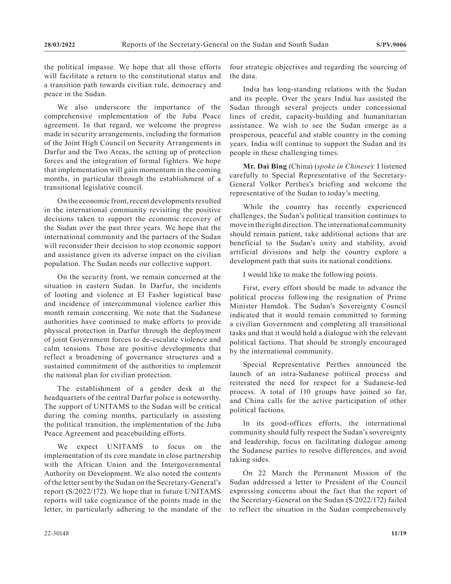the political impasse. We hope that all those efforts will facilitate a return to the constitutional status and a transition path towards civilian rule, democracy and peace in the Sudan.

We also underscore the importance of the comprehensive implementation of the Juba Peace agreement. In that regard, we welcome the progress made in security arrangements, including the formation of the Joint High Council on Security Arrangements in Darfur and the Two Areas, the setting up of protection forces and the integration of formal fighters. We hope that implementation will gain momentum in the coming months, in particular through the establishment of a transitional legislative council.

On the economic front, recent developments resulted in the international community revisiting the positive decisions taken to support the economic recovery of the Sudan over the past three years. We hope that the international community and the partners of the Sudan will reconsider their decision to stop economic support and assistance given its adverse impact on the civilian population. The Sudan needs our collective support.

On the security front, we remain concerned at the situation in eastern Sudan. In Darfur, the incidents of looting and violence at El Fasher logistical base and incidence of intercommunal violence earlier this month remain concerning. We note that the Sudanese authorities have continued to make efforts to provide physical protection in Darfur through the deployment of joint Government forces to de-escalate violence and calm tensions. Those are positive developments that reflect a broadening of governance structures and a sustained commitment of the authorities to implement the national plan for civilian protection.

The establishment of a gender desk at the headquarters of the central Darfur police is noteworthy. The support of UNITAMS to the Sudan will be critical during the coming months, particularly in assisting the political transition, the implementation of the Juba Peace Agreement and peacebuilding efforts.

We expect UNITAMS to focus on the implementation of its core mandate in close partnership with the African Union and the Intergovernmental Authority on Development. We also noted the contents of the letter sent by the Sudan on the Secretary-General's report (S/2022/172). We hope that in future UNITAMS reports will take cognizance of the points made in the letter, in particularly adhering to the mandate of the four strategic objectives and regarding the sourcing of the data.

India has long-standing relations with the Sudan and its people. Over the years India has assisted the Sudan through several projects under concessional lines of credit, capacity-building and humanitarian assistance. We wish to see the Sudan emerge as a prosperous, peaceful and stable country in the coming years. India will continue to support the Sudan and its people in these challenging times.

**Mr. Dai Bing** (China) (*spoke in Chinese*): I listened carefully to Special Representative of the Secretary-General Volker Perthes's briefing and welcome the representative of the Sudan to today's meeting.

While the country has recently experienced challenges, the Sudan's political transition continues to move in the right direction. The international community should remain patient, take additional actions that are beneficial to the Sudan's unity and stability, avoid artificial divisions and help the country explore a development path that suits its national conditions.

I would like to make the following points.

First, every effort should be made to advance the political process following the resignation of Prime Minister Hamdok. The Sudan's Sovereignty Council indicated that it would remain committed to forming a civilian Government and completing all transitional tasks and that it would hold a dialogue with the relevant political factions. That should be strongly encouraged by the international community.

Special Representative Perthes announced the launch of an intra-Sudanese political process and reiterated the need for respect for a Sudanese-led process. A total of 110 groups have joined so far, and China calls for the active participation of other political factions.

In its good-offices efforts, the international community should fully respect the Sudan's sovereignty and leadership, focus on facilitating dialogue among the Sudanese parties to resolve differences, and avoid taking sides.

On 22 March the Permanent Mission of the Sudan addressed a letter to President of the Council expressing concerns about the fact that the report of the Secretary-General on the Sudan (S/2022/172) failed to reflect the situation in the Sudan comprehensively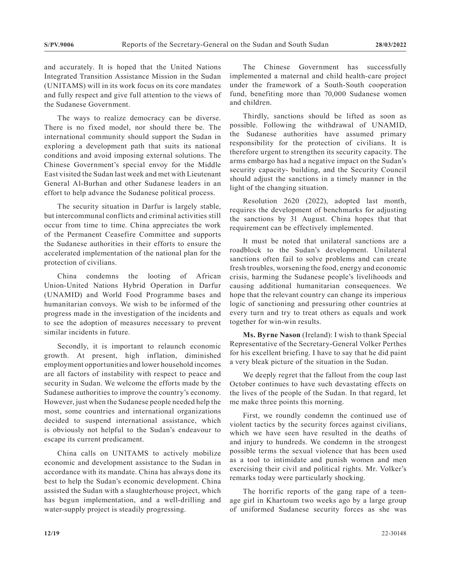and accurately. It is hoped that the United Nations Integrated Transition Assistance Mission in the Sudan (UNITAMS) will in its work focus on its core mandates and fully respect and give full attention to the views of the Sudanese Government.

The ways to realize democracy can be diverse. There is no fixed model, nor should there be. The international community should support the Sudan in exploring a development path that suits its national conditions and avoid imposing external solutions. The Chinese Government's special envoy for the Middle East visited the Sudan last week and met with Lieutenant General Al-Burhan and other Sudanese leaders in an effort to help advance the Sudanese political process.

The security situation in Darfur is largely stable, but intercommunal conflicts and criminal activities still occur from time to time. China appreciates the work of the Permanent Ceasefire Committee and supports the Sudanese authorities in their efforts to ensure the accelerated implementation of the national plan for the protection of civilians.

China condemns the looting of African Union-United Nations Hybrid Operation in Darfur (UNAMID) and World Food Programme bases and humanitarian convoys. We wish to be informed of the progress made in the investigation of the incidents and to see the adoption of measures necessary to prevent similar incidents in future.

Secondly, it is important to relaunch economic growth. At present, high inflation, diminished employment opportunities and lower household incomes are all factors of instability with respect to peace and security in Sudan. We welcome the efforts made by the Sudanese authorities to improve the country's economy. However, just when the Sudanese people needed help the most, some countries and international organizations decided to suspend international assistance, which is obviously not helpful to the Sudan's endeavour to escape its current predicament.

China calls on UNITAMS to actively mobilize economic and development assistance to the Sudan in accordance with its mandate. China has always done its best to help the Sudan's economic development. China assisted the Sudan with a slaughterhouse project, which has begun implementation, and a well-drilling and water-supply project is steadily progressing.

The Chinese Government has successfully implemented a maternal and child health-care project under the framework of a South-South cooperation fund, benefiting more than 70,000 Sudanese women and children.

Thirdly, sanctions should be lifted as soon as possible. Following the withdrawal of UNAMID, the Sudanese authorities have assumed primary responsibility for the protection of civilians. It is therefore urgent to strengthen its security capacity. The arms embargo has had a negative impact on the Sudan's security capacity- building, and the Security Council should adjust the sanctions in a timely manner in the light of the changing situation.

Resolution 2620 (2022), adopted last month, requires the development of benchmarks for adjusting the sanctions by 31 August. China hopes that that requirement can be effectively implemented.

It must be noted that unilateral sanctions are a roadblock to the Sudan's development. Unilateral sanctions often fail to solve problems and can create fresh troubles, worsening the food, energy and economic crisis, harming the Sudanese people's livelihoods and causing additional humanitarian consequences. We hope that the relevant country can change its imperious logic of sanctioning and pressuring other countries at every turn and try to treat others as equals and work together for win-win results.

**Ms. Byrne Nason** (Ireland): I wish to thank Special Representative of the Secretary-General Volker Perthes for his excellent briefing. I have to say that he did paint a very bleak picture of the situation in the Sudan.

We deeply regret that the fallout from the coup last October continues to have such devastating effects on the lives of the people of the Sudan. In that regard, let me make three points this morning.

First, we roundly condemn the continued use of violent tactics by the security forces against civilians, which we have seen have resulted in the deaths of and injury to hundreds. We condemn in the strongest possible terms the sexual violence that has been used as a tool to intimidate and punish women and men exercising their civil and political rights. Mr. Volker's remarks today were particularly shocking.

The horrific reports of the gang rape of a teenage girl in Khartoum two weeks ago by a large group of uniformed Sudanese security forces as she was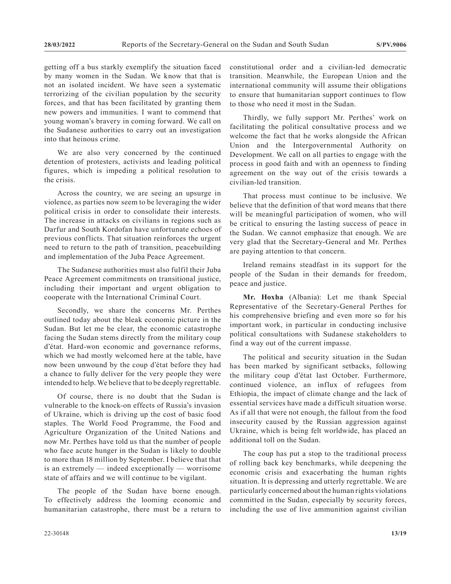getting off a bus starkly exemplify the situation faced by many women in the Sudan. We know that that is not an isolated incident. We have seen a systematic terrorizing of the civilian population by the security forces, and that has been facilitated by granting them new powers and immunities. I want to commend that young woman's bravery in coming forward. We call on the Sudanese authorities to carry out an investigation into that heinous crime.

We are also very concerned by the continued detention of protesters, activists and leading political figures, which is impeding a political resolution to the crisis.

Across the country, we are seeing an upsurge in violence, as parties now seem to be leveraging the wider political crisis in order to consolidate their interests. The increase in attacks on civilians in regions such as Darfur and South Kordofan have unfortunate echoes of previous conflicts. That situation reinforces the urgent need to return to the path of transition, peacebuilding and implementation of the Juba Peace Agreement.

The Sudanese authorities must also fulfil their Juba Peace Agreement commitments on transitional justice, including their important and urgent obligation to cooperate with the International Criminal Court.

Secondly, we share the concerns Mr. Perthes outlined today about the bleak economic picture in the Sudan. But let me be clear, the economic catastrophe facing the Sudan stems directly from the military coup d'état. Hard-won economic and governance reforms, which we had mostly welcomed here at the table, have now been unwound by the coup d'état before they had a chance to fully deliver for the very people they were intended to help. We believe that to be deeply regrettable.

Of course, there is no doubt that the Sudan is vulnerable to the knock-on effects of Russia's invasion of Ukraine, which is driving up the cost of basic food staples. The World Food Programme, the Food and Agriculture Organization of the United Nations and now Mr. Perthes have told us that the number of people who face acute hunger in the Sudan is likely to double to more than 18 million by September. I believe that that is an extremely — indeed exceptionally — worrisome state of affairs and we will continue to be vigilant.

The people of the Sudan have borne enough. To effectively address the looming economic and humanitarian catastrophe, there must be a return to constitutional order and a civilian-led democratic transition. Meanwhile, the European Union and the international community will assume their obligations to ensure that humanitarian support continues to flow to those who need it most in the Sudan.

Thirdly, we fully support Mr. Perthes' work on facilitating the political consultative process and we welcome the fact that he works alongside the African Union and the Intergovernmental Authority on Development. We call on all parties to engage with the process in good faith and with an openness to finding agreement on the way out of the crisis towards a civilian-led transition.

That process must continue to be inclusive. We believe that the definition of that word means that there will be meaningful participation of women, who will be critical to ensuring the lasting success of peace in the Sudan. We cannot emphasize that enough. We are very glad that the Secretary-General and Mr. Perthes are paying attention to that concern.

Ireland remains steadfast in its support for the people of the Sudan in their demands for freedom, peace and justice.

**Mr. Hoxha** (Albania): Let me thank Special Representative of the Secretary-General Perthes for his comprehensive briefing and even more so for his important work, in particular in conducting inclusive political consultations with Sudanese stakeholders to find a way out of the current impasse.

The political and security situation in the Sudan has been marked by significant setbacks, following the military coup d'état last October. Furthermore, continued violence, an influx of refugees from Ethiopia, the impact of climate change and the lack of essential services have made a difficult situation worse. As if all that were not enough, the fallout from the food insecurity caused by the Russian aggression against Ukraine, which is being felt worldwide, has placed an additional toll on the Sudan.

The coup has put a stop to the traditional process of rolling back key benchmarks, while deepening the economic crisis and exacerbating the human rights situation. It is depressing and utterly regrettable. We are particularly concerned about the human rights violations committed in the Sudan, especially by security forces, including the use of live ammunition against civilian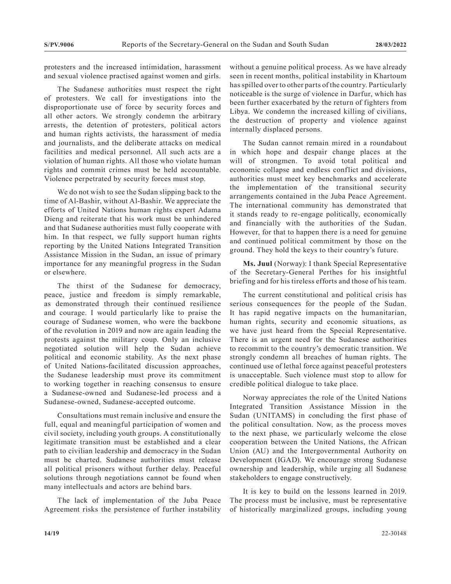protesters and the increased intimidation, harassment and sexual violence practised against women and girls.

The Sudanese authorities must respect the right of protesters. We call for investigations into the disproportionate use of force by security forces and all other actors. We strongly condemn the arbitrary arrests, the detention of protesters, political actors and human rights activists, the harassment of media and journalists, and the deliberate attacks on medical facilities and medical personnel. All such acts are a violation of human rights. All those who violate human rights and commit crimes must be held accountable. Violence perpetrated by security forces must stop.

We do not wish to see the Sudan slipping back to the time of Al-Bashir, without Al-Bashir. We appreciate the efforts of United Nations human rights expert Adama Dieng and reiterate that his work must be unhindered and that Sudanese authorities must fully cooperate with him. In that respect, we fully support human rights reporting by the United Nations Integrated Transition Assistance Mission in the Sudan, an issue of primary importance for any meaningful progress in the Sudan or elsewhere.

The thirst of the Sudanese for democracy, peace, justice and freedom is simply remarkable, as demonstrated through their continued resilience and courage. I would particularly like to praise the courage of Sudanese women, who were the backbone of the revolution in 2019 and now are again leading the protests against the military coup. Only an inclusive negotiated solution will help the Sudan achieve political and economic stability. As the next phase of United Nations-facilitated discussion approaches, the Sudanese leadership must prove its commitment to working together in reaching consensus to ensure a Sudanese-owned and Sudanese-led process and a Sudanese-owned, Sudanese-accepted outcome.

Consultations must remain inclusive and ensure the full, equal and meaningful participation of women and civil society, including youth groups. A constitutionally legitimate transition must be established and a clear path to civilian leadership and democracy in the Sudan must be charted. Sudanese authorities must release all political prisoners without further delay. Peaceful solutions through negotiations cannot be found when many intellectuals and actors are behind bars.

The lack of implementation of the Juba Peace Agreement risks the persistence of further instability without a genuine political process. As we have already seen in recent months, political instability in Khartoum has spilled over to other parts of the country. Particularly noticeable is the surge of violence in Darfur, which has been further exacerbated by the return of fighters from Libya. We condemn the increased killing of civilians, the destruction of property and violence against internally displaced persons.

The Sudan cannot remain mired in a roundabout in which hope and despair change places at the will of strongmen. To avoid total political and economic collapse and endless conflict and divisions, authorities must meet key benchmarks and accelerate the implementation of the transitional security arrangements contained in the Juba Peace Agreement. The international community has demonstrated that it stands ready to re-engage politically, economically and financially with the authorities of the Sudan. However, for that to happen there is a need for genuine and continued political commitment by those on the ground. They hold the keys to their country's future.

**Ms. Juul** (Norway): I thank Special Representative of the Secretary-General Perthes for his insightful briefing and for his tireless efforts and those of his team.

The current constitutional and political crisis has serious consequences for the people of the Sudan. It has rapid negative impacts on the humanitarian, human rights, security and economic situations, as we have just heard from the Special Representative. There is an urgent need for the Sudanese authorities to recommit to the country's democratic transition. We strongly condemn all breaches of human rights. The continued use of lethal force against peaceful protesters is unacceptable. Such violence must stop to allow for credible political dialogue to take place.

Norway appreciates the role of the United Nations Integrated Transition Assistance Mission in the Sudan (UNITAMS) in concluding the first phase of the political consultation. Now, as the process moves to the next phase, we particularly welcome the close cooperation between the United Nations, the African Union (AU) and the Intergovernmental Authority on Development (IGAD). We encourage strong Sudanese ownership and leadership, while urging all Sudanese stakeholders to engage constructively.

It is key to build on the lessons learned in 2019. The process must be inclusive, must be representative of historically marginalized groups, including young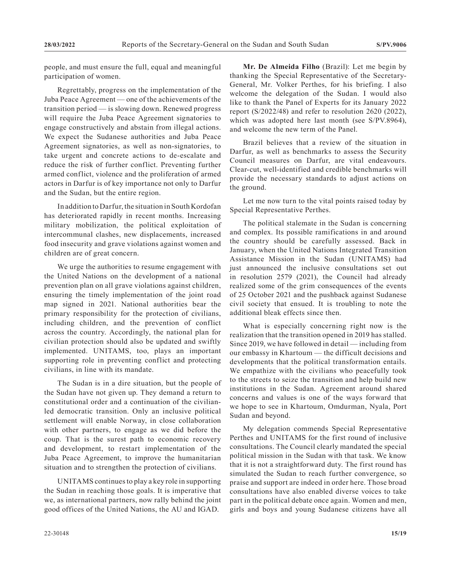people, and must ensure the full, equal and meaningful participation of women.

Regrettably, progress on the implementation of the Juba Peace Agreement — one of the achievements of the transition period — is slowing down. Renewed progress will require the Juba Peace Agreement signatories to engage constructively and abstain from illegal actions. We expect the Sudanese authorities and Juba Peace Agreement signatories, as well as non-signatories, to take urgent and concrete actions to de-escalate and reduce the risk of further conflict. Preventing further armed conflict, violence and the proliferation of armed actors in Darfur is of key importance not only to Darfur and the Sudan, but the entire region.

In addition to Darfur, the situation in South Kordofan has deteriorated rapidly in recent months. Increasing military mobilization, the political exploitation of intercommunal clashes, new displacements, increased food insecurity and grave violations against women and children are of great concern.

We urge the authorities to resume engagement with the United Nations on the development of a national prevention plan on all grave violations against children, ensuring the timely implementation of the joint road map signed in 2021. National authorities bear the primary responsibility for the protection of civilians, including children, and the prevention of conflict across the country. Accordingly, the national plan for civilian protection should also be updated and swiftly implemented. UNITAMS, too, plays an important supporting role in preventing conflict and protecting civilians, in line with its mandate.

The Sudan is in a dire situation, but the people of the Sudan have not given up. They demand a return to constitutional order and a continuation of the civilianled democratic transition. Only an inclusive political settlement will enable Norway, in close collaboration with other partners, to engage as we did before the coup. That is the surest path to economic recovery and development, to restart implementation of the Juba Peace Agreement, to improve the humanitarian situation and to strengthen the protection of civilians.

UNITAMS continues to play a key role in supporting the Sudan in reaching those goals. It is imperative that we, as international partners, now rally behind the joint good offices of the United Nations, the AU and IGAD.

**Mr. De Almeida Filho** (Brazil): Let me begin by thanking the Special Representative of the Secretary-General, Mr. Volker Perthes, for his briefing. I also welcome the delegation of the Sudan. I would also like to thank the Panel of Experts for its January 2022 report (S/2022/48) and refer to resolution 2620 (2022), which was adopted here last month (see S/PV.8964), and welcome the new term of the Panel.

Brazil believes that a review of the situation in Darfur, as well as benchmarks to assess the Security Council measures on Darfur, are vital endeavours. Clear-cut, well-identified and credible benchmarks will provide the necessary standards to adjust actions on the ground.

Let me now turn to the vital points raised today by Special Representative Perthes.

The political stalemate in the Sudan is concerning and complex. Its possible ramifications in and around the country should be carefully assessed. Back in January, when the United Nations Integrated Transition Assistance Mission in the Sudan (UNITAMS) had just announced the inclusive consultations set out in resolution 2579 (2021), the Council had already realized some of the grim consequences of the events of 25 October 2021 and the pushback against Sudanese civil society that ensued. It is troubling to note the additional bleak effects since then.

What is especially concerning right now is the realization that the transition opened in 2019 has stalled. Since 2019, we have followed in detail — including from our embassy in Khartoum — the difficult decisions and developments that the political transformation entails. We empathize with the civilians who peacefully took to the streets to seize the transition and help build new institutions in the Sudan. Agreement around shared concerns and values is one of the ways forward that we hope to see in Khartoum, Omdurman, Nyala, Port Sudan and beyond.

My delegation commends Special Representative Perthes and UNITAMS for the first round of inclusive consultations. The Council clearly mandated the special political mission in the Sudan with that task. We know that it is not a straightforward duty. The first round has simulated the Sudan to reach further convergence, so praise and support are indeed in order here. Those broad consultations have also enabled diverse voices to take part in the political debate once again. Women and men, girls and boys and young Sudanese citizens have all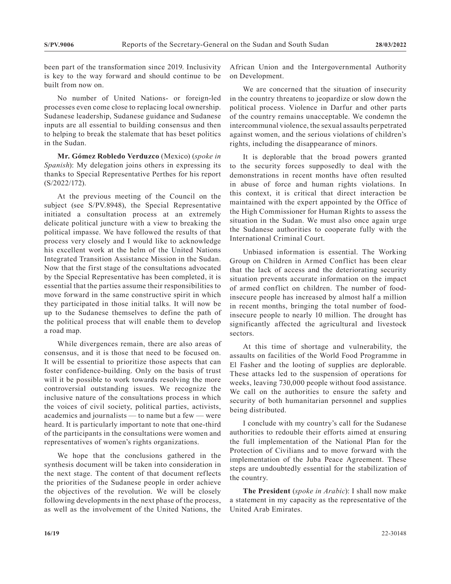been part of the transformation since 2019. Inclusivity is key to the way forward and should continue to be built from now on.

No number of United Nations- or foreign-led processes even come close to replacing local ownership. Sudanese leadership, Sudanese guidance and Sudanese inputs are all essential to building consensus and then to helping to break the stalemate that has beset politics in the Sudan.

**Mr. Gómez Robledo Verduzco** (Mexico) (*spoke in Spanish*): My delegation joins others in expressing its thanks to Special Representative Perthes for his report (S/2022/172).

At the previous meeting of the Council on the subject (see S/PV.8948), the Special Representative initiated a consultation process at an extremely delicate political juncture with a view to breaking the political impasse. We have followed the results of that process very closely and I would like to acknowledge his excellent work at the helm of the United Nations Integrated Transition Assistance Mission in the Sudan. Now that the first stage of the consultations advocated by the Special Representative has been completed, it is essential that the parties assume their responsibilities to move forward in the same constructive spirit in which they participated in those initial talks. It will now be up to the Sudanese themselves to define the path of the political process that will enable them to develop a road map.

While divergences remain, there are also areas of consensus, and it is those that need to be focused on. It will be essential to prioritize those aspects that can foster confidence-building. Only on the basis of trust will it be possible to work towards resolving the more controversial outstanding issues. We recognize the inclusive nature of the consultations process in which the voices of civil society, political parties, activists, academics and journalists — to name but a few — were heard. It is particularly important to note that one-third of the participants in the consultations were women and representatives of women's rights organizations.

We hope that the conclusions gathered in the synthesis document will be taken into consideration in the next stage. The content of that document reflects the priorities of the Sudanese people in order achieve the objectives of the revolution. We will be closely following developments in the next phase of the process, as well as the involvement of the United Nations, the

African Union and the Intergovernmental Authority on Development.

We are concerned that the situation of insecurity in the country threatens to jeopardize or slow down the political process. Violence in Darfur and other parts of the country remains unacceptable. We condemn the intercommunal violence, the sexual assaults perpetrated against women, and the serious violations of children's rights, including the disappearance of minors.

It is deplorable that the broad powers granted to the security forces supposedly to deal with the demonstrations in recent months have often resulted in abuse of force and human rights violations. In this context, it is critical that direct interaction be maintained with the expert appointed by the Office of the High Commissioner for Human Rights to assess the situation in the Sudan. We must also once again urge the Sudanese authorities to cooperate fully with the International Criminal Court.

Unbiased information is essential. The Working Group on Children in Armed Conflict has been clear that the lack of access and the deteriorating security situation prevents accurate information on the impact of armed conflict on children. The number of foodinsecure people has increased by almost half a million in recent months, bringing the total number of foodinsecure people to nearly 10 million. The drought has significantly affected the agricultural and livestock sectors.

At this time of shortage and vulnerability, the assaults on facilities of the World Food Programme in El Fasher and the looting of supplies are deplorable. These attacks led to the suspension of operations for weeks, leaving 730,000 people without food assistance. We call on the authorities to ensure the safety and security of both humanitarian personnel and supplies being distributed.

I conclude with my country's call for the Sudanese authorities to redouble their efforts aimed at ensuring the full implementation of the National Plan for the Protection of Civilians and to move forward with the implementation of the Juba Peace Agreement. These steps are undoubtedly essential for the stabilization of the country.

**The President** (*spoke in Arabic*): I shall now make a statement in my capacity as the representative of the United Arab Emirates.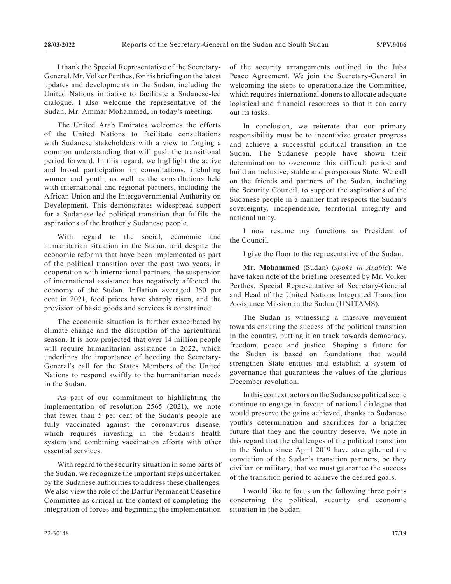I thank the Special Representative of the Secretary-General, Mr. Volker Perthes, for his briefing on the latest updates and developments in the Sudan, including the United Nations initiative to facilitate a Sudanese-led dialogue. I also welcome the representative of the Sudan, Mr. Ammar Mohammed, in today's meeting.

The United Arab Emirates welcomes the efforts of the United Nations to facilitate consultations with Sudanese stakeholders with a view to forging a common understanding that will push the transitional period forward. In this regard, we highlight the active and broad participation in consultations, including women and youth, as well as the consultations held with international and regional partners, including the African Union and the Intergovernmental Authority on Development. This demonstrates widespread support for a Sudanese-led political transition that fulfils the aspirations of the brotherly Sudanese people.

With regard to the social, economic and humanitarian situation in the Sudan, and despite the economic reforms that have been implemented as part of the political transition over the past two years, in cooperation with international partners, the suspension of international assistance has negatively affected the economy of the Sudan. Inflation averaged 350 per cent in 2021, food prices have sharply risen, and the provision of basic goods and services is constrained.

The economic situation is further exacerbated by climate change and the disruption of the agricultural season. It is now projected that over 14 million people will require humanitarian assistance in 2022, which underlines the importance of heeding the Secretary-General's call for the States Members of the United Nations to respond swiftly to the humanitarian needs in the Sudan.

As part of our commitment to highlighting the implementation of resolution 2565 (2021), we note that fewer than 5 per cent of the Sudan's people are fully vaccinated against the coronavirus disease, which requires investing in the Sudan's health system and combining vaccination efforts with other essential services.

With regard to the security situation in some parts of the Sudan, we recognize the important steps undertaken by the Sudanese authorities to address these challenges. We also view the role of the Darfur Permanent Ceasefire Committee as critical in the context of completing the integration of forces and beginning the implementation

of the security arrangements outlined in the Juba Peace Agreement. We join the Secretary-General in welcoming the steps to operationalize the Committee, which requires international donors to allocate adequate logistical and financial resources so that it can carry out its tasks.

In conclusion, we reiterate that our primary responsibility must be to incentivize greater progress and achieve a successful political transition in the Sudan. The Sudanese people have shown their determination to overcome this difficult period and build an inclusive, stable and prosperous State. We call on the friends and partners of the Sudan, including the Security Council, to support the aspirations of the Sudanese people in a manner that respects the Sudan's sovereignty, independence, territorial integrity and national unity.

I now resume my functions as President of the Council.

I give the floor to the representative of the Sudan.

**Mr. Mohammed** (Sudan) (*spoke in Arabic*): We have taken note of the briefing presented by Mr. Volker Perthes, Special Representative of Secretary-General and Head of the United Nations Integrated Transition Assistance Mission in the Sudan (UNITAMS).

The Sudan is witnessing a massive movement towards ensuring the success of the political transition in the country, putting it on track towards democracy, freedom, peace and justice. Shaping a future for the Sudan is based on foundations that would strengthen State entities and establish a system of governance that guarantees the values of the glorious December revolution.

In this context, actors on the Sudanese political scene continue to engage in favour of national dialogue that would preserve the gains achieved, thanks to Sudanese youth's determination and sacrifices for a brighter future that they and the country deserve. We note in this regard that the challenges of the political transition in the Sudan since April 2019 have strengthened the conviction of the Sudan's transition partners, be they civilian or military, that we must guarantee the success of the transition period to achieve the desired goals.

I would like to focus on the following three points concerning the political, security and economic situation in the Sudan.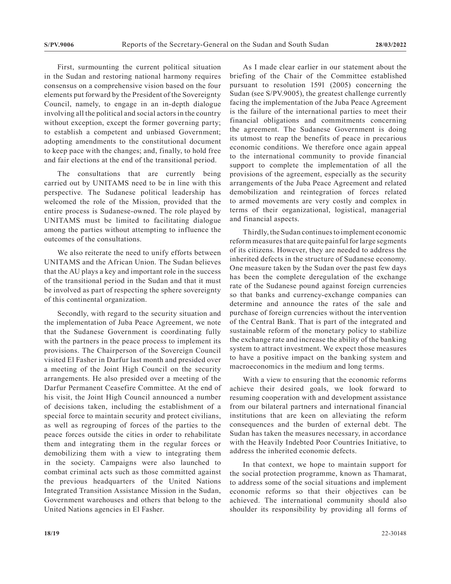First, surmounting the current political situation in the Sudan and restoring national harmony requires consensus on a comprehensive vision based on the four elements put forward by the President of the Sovereignty Council, namely, to engage in an in-depth dialogue involving all the political and social actors in the country without exception, except the former governing party; to establish a competent and unbiased Government; adopting amendments to the constitutional document to keep pace with the changes; and, finally, to hold free and fair elections at the end of the transitional period.

The consultations that are currently being carried out by UNITAMS need to be in line with this perspective. The Sudanese political leadership has welcomed the role of the Mission, provided that the entire process is Sudanese-owned. The role played by UNITAMS must be limited to facilitating dialogue among the parties without attempting to influence the outcomes of the consultations.

We also reiterate the need to unify efforts between UNITAMS and the African Union. The Sudan believes that the AU plays a key and important role in the success of the transitional period in the Sudan and that it must be involved as part of respecting the sphere sovereignty of this continental organization.

Secondly, with regard to the security situation and the implementation of Juba Peace Agreement, we note that the Sudanese Government is coordinating fully with the partners in the peace process to implement its provisions. The Chairperson of the Sovereign Council visited El Fasher in Darfur last month and presided over a meeting of the Joint High Council on the security arrangements. He also presided over a meeting of the Darfur Permanent Ceasefire Committee. At the end of his visit, the Joint High Council announced a number of decisions taken, including the establishment of a special force to maintain security and protect civilians, as well as regrouping of forces of the parties to the peace forces outside the cities in order to rehabilitate them and integrating them in the regular forces or demobilizing them with a view to integrating them in the society. Campaigns were also launched to combat criminal acts such as those committed against the previous headquarters of the United Nations Integrated Transition Assistance Mission in the Sudan, Government warehouses and others that belong to the United Nations agencies in El Fasher.

As I made clear earlier in our statement about the briefing of the Chair of the Committee established pursuant to resolution 1591 (2005) concerning the Sudan (see S/PV.9005), the greatest challenge currently facing the implementation of the Juba Peace Agreement is the failure of the international parties to meet their financial obligations and commitments concerning the agreement. The Sudanese Government is doing its utmost to reap the benefits of peace in precarious economic conditions. We therefore once again appeal to the international community to provide financial support to complete the implementation of all the provisions of the agreement, especially as the security arrangements of the Juba Peace Agreement and related demobilization and reintegration of forces related to armed movements are very costly and complex in terms of their organizational, logistical, managerial and financial aspects.

Thirdly, the Sudan continues to implement economic reform measures that are quite painful for large segments of its citizens. However, they are needed to address the inherited defects in the structure of Sudanese economy. One measure taken by the Sudan over the past few days has been the complete deregulation of the exchange rate of the Sudanese pound against foreign currencies so that banks and currency-exchange companies can determine and announce the rates of the sale and purchase of foreign currencies without the intervention of the Central Bank. That is part of the integrated and sustainable reform of the monetary policy to stabilize the exchange rate and increase the ability of the banking system to attract investment. We expect those measures to have a positive impact on the banking system and macroeconomics in the medium and long terms.

With a view to ensuring that the economic reforms achieve their desired goals, we look forward to resuming cooperation with and development assistance from our bilateral partners and international financial institutions that are keen on alleviating the reform consequences and the burden of external debt. The Sudan has taken the measures necessary, in accordance with the Heavily Indebted Poor Countries Initiative, to address the inherited economic defects.

In that context, we hope to maintain support for the social protection programme, known as Thamarat, to address some of the social situations and implement economic reforms so that their objectives can be achieved. The international community should also shoulder its responsibility by providing all forms of